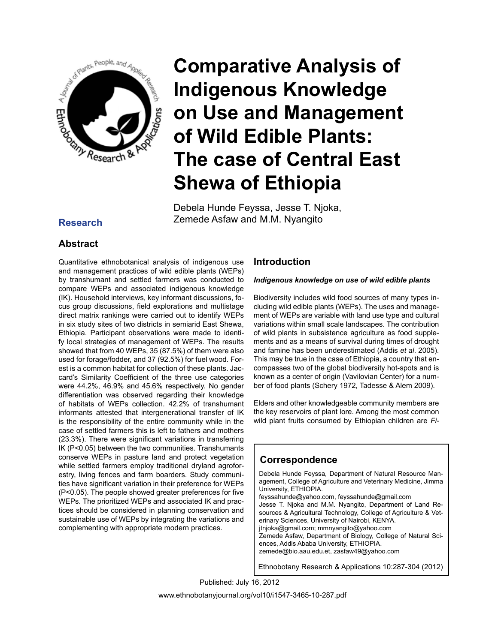

Debela Hunde Feyssa, Jesse T. Njoka, Zemede Asfaw and M.M. Nyangito **Research**

# **Abstract**

Quantitative ethnobotanical analysis of indigenous use and management practices of wild edible plants (WEPs) by transhumant and settled farmers was conducted to compare WEPs and associated indigenous knowledge (IK). Household interviews, key informant discussions, focus group discussions, field explorations and multistage direct matrix rankings were carried out to identify WEPs in six study sites of two districts in semiarid East Shewa, Ethiopia. Participant observations were made to identify local strategies of management of WEPs. The results showed that from 40 WEPs, 35 (87.5%) of them were also used for forage/fodder, and 37 (92.5%) for fuel wood. Forest is a common habitat for collection of these plants. Jaccard's Similarity Coefficient of the three use categories were 44.2%, 46.9% and 45.6% respectively. No gender differentiation was observed regarding their knowledge of habitats of WEPs collection. 42.2% of transhumant informants attested that intergenerational transfer of IK is the responsibility of the entire community while in the case of settled farmers this is left to fathers and mothers (23.3%). There were significant variations in transferring IK (P<0.05) between the two communities. Transhumants conserve WEPs in pasture land and protect vegetation while settled farmers employ traditional dryland agroforestry, living fences and farm boarders. Study communities have significant variation in their preference for WEPs (P<0.05). The people showed greater preferences for five WEPs. The prioritized WEPs and associated IK and practices should be considered in planning conservation and sustainable use of WEPs by integrating the variations and complementing with appropriate modern practices.

# **Introduction**

#### *Indigenous knowledge on use of wild edible plants*

Biodiversity includes wild food sources of many types including wild edible plants (WEPs). The uses and management of WEPs are variable with land use type and cultural variations within small scale landscapes. The contribution of wild plants in subsistence agriculture as food supplements and as a means of survival during times of drought and famine has been underestimated (Addis *et al*. 2005). This may be true in the case of Ethiopia, a country that encompasses two of the global biodiversity hot-spots and is known as a center of origin (Vavilovian Center) for a number of food plants (Schery 1972, Tadesse & Alem 2009).

Elders and other knowledgeable community members are the key reservoirs of plant lore. Among the most common wild plant fruits consumed by Ethiopian children are *Fi-*

# **Correspondence**

Debela Hunde Feyssa, Department of Natural Resource Management, College of Agriculture and Veterinary Medicine, Jimma University, ETHIOPIA. feyssahunde@yahoo.com, feyssahunde@gmail.com Jesse T. Njoka and M.M. Nyangito, Department of Land Resources & Agricultural Technology, College of Agriculture & Veterinary Sciences, University of Nairobi, KENYA. jtnjoka@gmail.com; mmnyangito@yahoo.com Zemede Asfaw, Department of Biology, College of Natural Sciences, Addis Ababa University, ETHIOPIA. zemede@bio.aau.edu.et, zasfaw49@yahoo.com

Ethnobotany Research & Applications 10:287-304 (2012)

www.ethnobotanyjournal.org/vol10/i1547-3465-10-287.pdf Published: July 16, 2012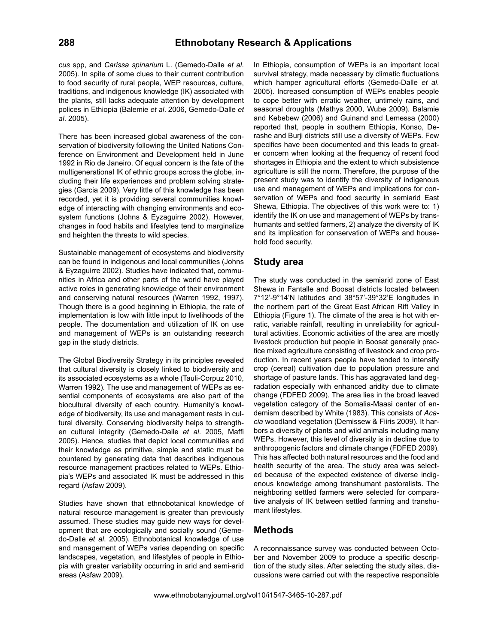*cus* spp, and *Carissa spinarium* L. (Gemedo-Dalle *et al*. 2005). In spite of some clues to their current contribution to food security of rural people, WEP resources, culture, traditions, and indigenous knowledge (IK) associated with the plants, still lacks adequate attention by development polices in Ethiopia (Balemie *et al*. 2006, Gemedo-Dalle *et al*. 2005).

There has been increased global awareness of the conservation of biodiversity following the United Nations Conference on Environment and Development held in June 1992 in Rio de Janeiro. Of equal concern is the fate of the multigenerational IK of ethnic groups across the globe, including their life experiences and problem solving strategies (Garcia 2009). Very little of this knowledge has been recorded, yet it is providing several communities knowledge of interacting with changing environments and ecosystem functions (Johns & Eyzaguirre 2002). However, changes in food habits and lifestyles tend to marginalize and heighten the threats to wild species.

Sustainable management of ecosystems and biodiversity can be found in indigenous and local communities (Johns & Eyzaguirre 2002). Studies have indicated that, communities in Africa and other parts of the world have played active roles in generating knowledge of their environment and conserving natural resources (Warren 1992, 1997). Though there is a good beginning in Ethiopia, the rate of implementation is low with little input to livelihoods of the people. The documentation and utilization of IK on use and management of WEPs is an outstanding research gap in the study districts.

The Global Biodiversity Strategy in its principles revealed that cultural diversity is closely linked to biodiversity and its associated ecosystems as a whole (Tauli-Corpuz 2010, Warren 1992). The use and management of WEPs as essential components of ecosystems are also part of the biocultural diversity of each country. Humanity's knowledge of biodiversity, its use and management rests in cultural diversity. Conserving biodiversity helps to strengthen cultural integrity (Gemedo-Dalle *et al*. 2005, Maffi 2005). Hence, studies that depict local communities and their knowledge as primitive, simple and static must be countered by generating data that describes indigenous resource management practices related to WEPs. Ethiopia's WEPs and associated IK must be addressed in this regard (Asfaw 2009).

Studies have shown that ethnobotanical knowledge of natural resource management is greater than previously assumed. These studies may guide new ways for development that are ecologically and socially sound (Gemedo-Dalle *et al*. 2005). Ethnobotanical knowledge of use and management of WEPs varies depending on specific landscapes, vegetation, and lifestyles of people in Ethiopia with greater variability occurring in arid and semi-arid areas (Asfaw 2009).

In Ethiopia, consumption of WEPs is an important local survival strategy, made necessary by climatic fluctuations which hamper agricultural efforts (Gemedo-Dalle *et al*. 2005). Increased consumption of WEPs enables people to cope better with erratic weather, untimely rains, and seasonal droughts (Mathys 2000, Wube 2009). Balamie and Kebebew (2006) and Guinand and Lemessa (2000) reported that, people in southern Ethiopia, Konso, Derashe and Burji districts still use a diversity of WEPs. Few specifics have been documented and this leads to greater concern when looking at the frequency of recent food shortages in Ethiopia and the extent to which subsistence agriculture is still the norm. Therefore, the purpose of the present study was to identify the diversity of indigenous use and management of WEPs and implications for conservation of WEPs and food security in semiarid East Shewa, Ethiopia. The objectives of this work were to: 1) identify the IK on use and management of WEPs by transhumants and settled farmers, 2) analyze the diversity of IK and its implication for conservation of WEPs and household food security.

# **Study area**

The study was conducted in the semiarid zone of East Shewa in Fantalle and Boosat districts located between 7°12'-9°14'N latitudes and 38°57'-39°32'E longitudes in the northern part of the Great East African Rift Valley in Ethiopia (Figure 1). The climate of the area is hot with erratic, variable rainfall, resulting in unreliability for agricultural activities. Economic activities of the area are mostly livestock production but people in Boosat generally practice mixed agriculture consisting of livestock and crop production. In recent years people have tended to intensify crop (cereal) cultivation due to population pressure and shortage of pasture lands. This has aggravated land degradation especially with enhanced aridity due to climate change (FDFED 2009). The area lies in the broad leaved vegetation category of the Somalia-Maasi center of endemism described by White (1983). This consists of *Acacia* woodland vegetation (Demissew & Fiiris 2009). It harbors a diversity of plants and wild animals including many WEPs. However, this level of diversity is in decline due to anthropogenic factors and climate change (FDFED 2009). This has affected both natural resources and the food and health security of the area. The study area was selected because of the expected existence of diverse indigenous knowledge among transhumant pastoralists. The neighboring settled farmers were selected for comparative analysis of IK between settled farming and transhumant lifestyles.

# **Methods**

A reconnaissance survey was conducted between October and November 2009 to produce a specific description of the study sites. After selecting the study sites, discussions were carried out with the respective responsible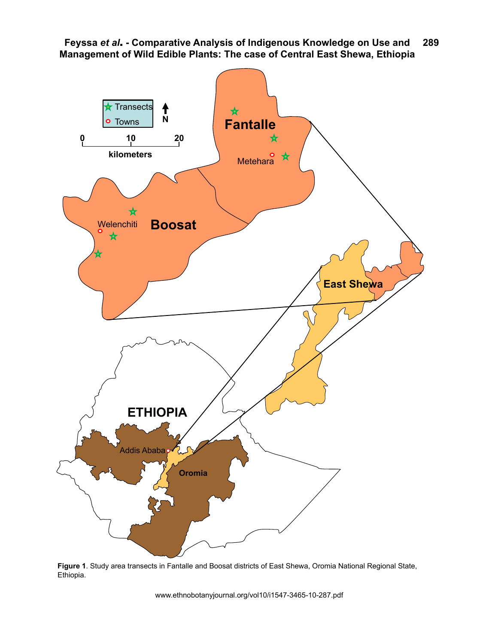

**Figure 1**. Study area transects in Fantalle and Boosat districts of East Shewa, Oromia National Regional State, Ethiopia.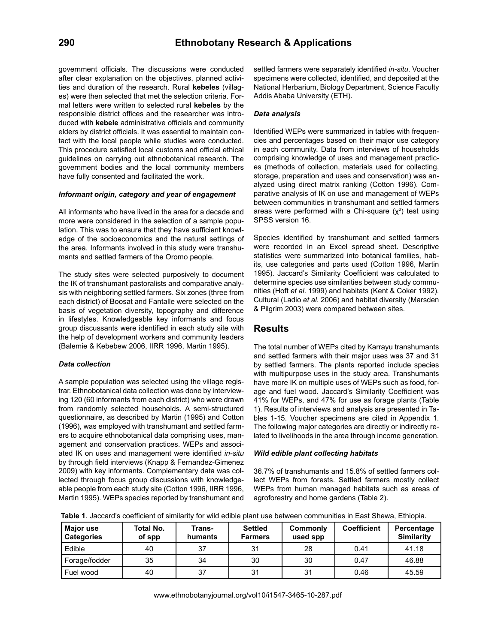government officials. The discussions were conducted after clear explanation on the objectives, planned activities and duration of the research. Rural **kebeles** (villages) were then selected that met the selection criteria. Formal letters were written to selected rural **kebeles** by the responsible district offices and the researcher was introduced with **kebele** administrative officials and community elders by district officials. It was essential to maintain contact with the local people while studies were conducted. This procedure satisfied local customs and official ethical guidelines on carrying out ethnobotanical research. The government bodies and the local community members have fully consented and facilitated the work.

#### *Informant origin, category and year of engagement*

All informants who have lived in the area for a decade and more were considered in the selection of a sample population. This was to ensure that they have sufficient knowledge of the socioeconomics and the natural settings of the area. Informants involved in this study were transhumants and settled farmers of the Oromo people.

The study sites were selected purposively to document the IK of transhumant pastoralists and comparative analysis with neighboring settled farmers. Six zones (three from each district) of Boosat and Fantalle were selected on the basis of vegetation diversity, topography and difference in lifestyles. Knowledgeable key informants and focus group discussants were identified in each study site with the help of development workers and community leaders (Balemie & Kebebew 2006, IIRR 1996, Martin 1995).

#### *Data collection*

A sample population was selected using the village registrar. Ethnobotanical data collection was done by interviewing 120 (60 informants from each district) who were drawn from randomly selected households. A semi-structured questionnaire, as described by Martin (1995) and Cotton (1996), was employed with transhumant and settled farmers to acquire ethnobotanical data comprising uses, management and conservation practices. WEPs and associated IK on uses and management were identified *in-situ*  by through field interviews (Knapp & Fernandez-Gimenez 2009) with key informants. Complementary data was collected through focus group discussions with knowledgeable people from each study site (Cotton 1996, IIRR 1996, Martin 1995). WEPs species reported by transhumant and

settled farmers were separately identified *in-situ*. Voucher specimens were collected, identified, and deposited at the National Herbarium, Biology Department, Science Faculty Addis Ababa University (ETH).

#### *Data analysis*

Identified WEPs were summarized in tables with frequencies and percentages based on their major use category in each community. Data from interviews of households comprising knowledge of uses and management practices (methods of collection, materials used for collecting, storage, preparation and uses and conservation) was analyzed using direct matrix ranking (Cotton 1996). Comparative analysis of IK on use and management of WEPs between communities in transhumant and settled farmers areas were performed with a Chi-square  $(x^2)$  test using SPSS version 16.

Species identified by transhumant and settled farmers were recorded in an Excel spread sheet. Descriptive statistics were summarized into botanical families, habits, use categories and parts used (Cotton 1996, Martin 1995). Jaccard's Similarity Coefficient was calculated to determine species use similarities between study communities (Hoft *et al*. 1999) and habitats (Kent & Coker 1992). Cultural (Ladio *et al*. 2006) and habitat diversity (Marsden & Pilgrim 2003) were compared between sites.

## **Results**

The total number of WEPs cited by Karrayu transhumants and settled farmers with their major uses was 37 and 31 by settled farmers. The plants reported include species with multipurpose uses in the study area. Transhumants have more IK on multiple uses of WEPs such as food, forage and fuel wood. Jaccard's Similarity Coefficient was 41% for WEPs, and 47% for use as forage plants (Table 1). Results of interviews and analysis are presented in Tables 1-15. Voucher specimens are cited in Appendix 1. The following major categories are directly or indirectly related to livelihoods in the area through income generation.

#### *Wild edible plant collecting habitats*

36.7% of transhumants and 15.8% of settled farmers collect WEPs from forests. Settled farmers mostly collect WEPs from human managed habitats such as areas of agroforestry and home gardens (Table 2).

**Table 1**. Jaccard's coefficient of similarity for wild edible plant use between communities in East Shewa, Ethiopia.

| <b>Major</b> use<br><b>Categories</b> | Total No.<br>of spp | Trans-<br>humants | <b>Settled</b><br><b>Farmers</b> | Commonly<br>used spp | <b>Coefficient</b> | Percentage<br><b>Similarity</b> |
|---------------------------------------|---------------------|-------------------|----------------------------------|----------------------|--------------------|---------------------------------|
| Edible                                | 40                  | 37                | 31                               | 28                   | 0.41               | 41.18                           |
| Forage/fodder                         | 35                  | 34                | 30                               | 30                   | 0.47               | 46.88                           |
| Fuel wood                             | 40                  | 37                | 31                               | 31                   | 0.46               | 45.59                           |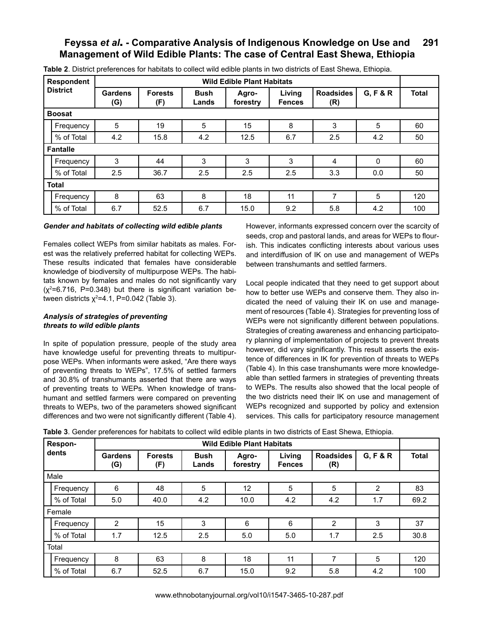|              | <b>Respondent</b> |                |                       |                      | <b>Wild Edible Plant Habitats</b> |                         |                         |          |              |
|--------------|-------------------|----------------|-----------------------|----------------------|-----------------------------------|-------------------------|-------------------------|----------|--------------|
|              | <b>District</b>   | Gardens<br>(G) | <b>Forests</b><br>(F) | <b>Bush</b><br>Lands | Agro-<br>forestry                 | Living<br><b>Fences</b> | <b>Roadsides</b><br>(R) | G, F & R | <b>Total</b> |
|              | <b>Boosat</b>     |                |                       |                      |                                   |                         |                         |          |              |
|              | Frequency         | 5              | 19                    | 5                    | 15                                | 8                       | 3                       | 5        | 60           |
|              | % of Total        | 4.2            | 15.8                  | 4.2                  | 12.5                              | 6.7                     | 2.5                     | 4.2      | 50           |
|              | <b>Fantalle</b>   |                |                       |                      |                                   |                         |                         |          |              |
|              | Frequency         | 3              | 44                    | 3                    | 3                                 | 3                       | 4                       | $\Omega$ | 60           |
|              | % of Total        | 2.5            | 36.7                  | 2.5                  | 2.5                               | 2.5                     | 3.3                     | 0.0      | 50           |
| <b>Total</b> |                   |                |                       |                      |                                   |                         |                         |          |              |
|              | Frequency         | 8              | 63                    | 8                    | 18                                | 11                      | $\overline{7}$          | 5        | 120          |
|              | % of Total        | 6.7            | 52.5                  | 6.7                  | 15.0                              | 9.2                     | 5.8                     | 4.2      | 100          |

**Table 2**. District preferences for habitats to collect wild edible plants in two districts of East Shewa, Ethiopia.

#### *Gender and habitats of collecting wild edible plants*

Females collect WEPs from similar habitats as males. Forest was the relatively preferred habitat for collecting WEPs. These results indicated that females have considerable knowledge of biodiversity of multipurpose WEPs. The habitats known by females and males do not significantly vary  $(x^2=6.716, P=0.348)$  but there is significant variation between districts χ<sup>2</sup>=4.1, P=0.042 (Table 3).

#### *Analysis of strategies of preventing threats to wild edible plants*

In spite of population pressure, people of the study area have knowledge useful for preventing threats to multipurpose WEPs. When informants were asked, "Are there ways of preventing threats to WEPs", 17.5% of settled farmers and 30.8% of transhumants asserted that there are ways of preventing treats to WEPs. When knowledge of transhumant and settled farmers were compared on preventing threats to WEPs, two of the parameters showed significant differences and two were not significantly different (Table 4). However, informants expressed concern over the scarcity of seeds, crop and pastoral lands, and areas for WEPs to flourish. This indicates conflicting interests about various uses and interdiffusion of IK on use and management of WEPs between transhumants and settled farmers.

Local people indicated that they need to get support about how to better use WEPs and conserve them. They also indicated the need of valuing their IK on use and management of resources (Table 4). Strategies for preventing loss of WEPs were not significantly different between populations. Strategies of creating awareness and enhancing participatory planning of implementation of projects to prevent threats however, did vary significantly. This result asserts the existence of differences in IK for prevention of threats to WEPs (Table 4). In this case transhumants were more knowledgeable than settled farmers in strategies of preventing threats to WEPs. The results also showed that the local people of the two districts need their IK on use and management of WEPs recognized and supported by policy and extension services. This calls for participatory resource management

**Table 3**. Gender preferences for habitats to collect wild edible plants in two districts of East Shewa, Ethiopia.

| Respon-    |                       |                       |                      | <b>Wild Edible Plant Habitats</b> |                         |                         |          |              |
|------------|-----------------------|-----------------------|----------------------|-----------------------------------|-------------------------|-------------------------|----------|--------------|
| dents      | <b>Gardens</b><br>(G) | <b>Forests</b><br>(F) | <b>Bush</b><br>Lands | Agro-<br>forestry                 | Living<br><b>Fences</b> | <b>Roadsides</b><br>(R) | G, F & R | <b>Total</b> |
| Male       |                       |                       |                      |                                   |                         |                         |          |              |
| Frequency  | 6                     | 48                    | 5                    | 12                                | 5                       | 5                       | 2        | 83           |
| % of Total | 5.0                   | 40.0                  | 4.2                  | 10.0                              | 4.2                     | 4.2                     | 1.7      | 69.2         |
| Female     |                       |                       |                      |                                   |                         |                         |          |              |
| Frequency  | $\overline{2}$        | 15                    | 3                    | 6                                 | 6                       | 2                       | 3        | 37           |
| % of Total | 1.7                   | 12.5                  | 2.5                  | 5.0                               | 5.0                     | 1.7                     | 2.5      | 30.8         |
| Total      |                       |                       |                      |                                   |                         |                         |          |              |
| Frequency  | 8                     | 63                    | 8                    | 18                                | 11                      | 7                       | 5        | 120          |
| % of Total | 6.7                   | 52.5                  | 6.7                  | 15.0                              | 9.2                     | 5.8                     | 4.2      | 100          |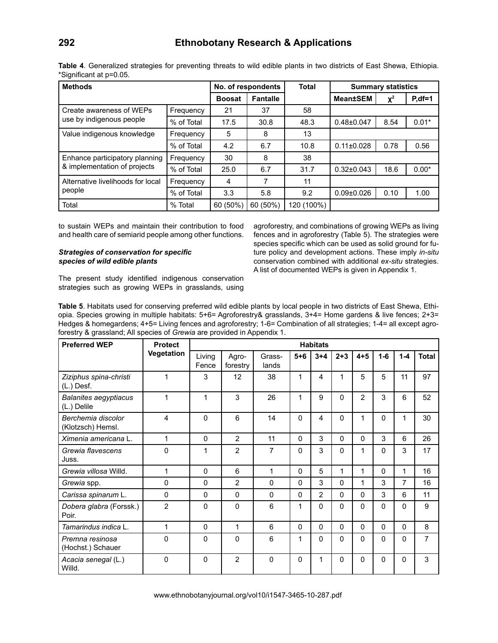| <b>Methods</b>                    |            |               | No. of respondents | <b>Total</b> |                  | <b>Summary statistics</b> |             |
|-----------------------------------|------------|---------------|--------------------|--------------|------------------|---------------------------|-------------|
|                                   |            | <b>Boosat</b> | <b>Fantalle</b>    |              | <b>Mean±SEM</b>  | $X^2$                     | $P, df = 1$ |
| Create awareness of WEPs          | Frequency  | 21            | 37                 | 58           |                  |                           |             |
| use by indigenous people          | % of Total | 17.5          | 30.8               | 48.3         | $0.48 \pm 0.047$ | 8.54                      | $0.01*$     |
| Value indigenous knowledge        | Frequency  | 5             | 8                  | 13           |                  |                           |             |
|                                   | % of Total | 4.2           | 6.7                | 10.8         | $0.11 \pm 0.028$ | 0.78                      | 0.56        |
| Enhance participatory planning    | Frequency  | 30            | 8                  | 38           |                  |                           |             |
| & implementation of projects      | % of Total | 25.0          | 6.7                | 31.7         | $0.32 \pm 0.043$ | 18.6                      | $0.00*$     |
| Alternative livelihoods for local | Frequency  | 4             | 7                  | 11           |                  |                           |             |
| people                            | % of Total | 3.3           | 5.8                | 9.2          | $0.09 \pm 0.026$ | 0.10                      | 1.00        |
| Total                             | % Total    | 60 (50%)      | 60 (50%)           | 120 (100%)   |                  |                           |             |

**Table 4**. Generalized strategies for preventing threats to wild edible plants in two districts of East Shewa, Ethiopia. \*Significant at p=0.05.

to sustain WEPs and maintain their contribution to food and health care of semiarid people among other functions.

#### *Strategies of conservation for specific species of wild edible plants*

agroforestry, and combinations of growing WEPs as living fences and in agroforestry (Table 5). The strategies were species specific which can be used as solid ground for future policy and development actions. These imply *in-situ*  conservation combined with additional *ex-situ* strategies. A list of documented WEPs is given in Appendix 1.

The present study identified indigenous conservation strategies such as growing WEPs in grasslands, using

**Table 5**. Habitats used for conserving preferred wild edible plants by local people in two districts of East Shewa, Ethiopia. Species growing in multiple habitats: 5+6= Agroforestry& grasslands, 3+4= Home gardens & live fences; 2+3= Hedges & homegardens; 4+5= Living fences and agroforestry; 1-6= Combination of all strategies; 1-4= all except agroforestry & grassland; All species of *Grewia* are provided in Appendix 1.

| <b>Preferred WEP</b>                        | <b>Protect</b> |                 |                   |                 |              | <b>Habitats</b> |          |                |              |                |                |
|---------------------------------------------|----------------|-----------------|-------------------|-----------------|--------------|-----------------|----------|----------------|--------------|----------------|----------------|
|                                             | Vegetation     | Living<br>Fence | Agro-<br>forestry | Grass-<br>lands | $5 + 6$      | $3 + 4$         | $2 + 3$  | $4 + 5$        | $1-6$        | $1 - 4$        | <b>Total</b>   |
| Ziziphus spina-christi<br>(L.) Desf.        | 1              | 3               | 12                | 38              | 1            | 4               | 1        | 5              | 5            | 11             | 97             |
| <b>Balanites aegyptiacus</b><br>(L.) Delile | 1              | 1               | 3                 | 26              | 1            | 9               | 0        | $\overline{2}$ | 3            | 6              | 52             |
| Berchemia discolor<br>(Klotzsch) Hemsl.     | 4              | $\mathbf{0}$    | 6                 | 14              | $\Omega$     | 4               | $\Omega$ | 1              | $\Omega$     | 1              | 30             |
| Ximenia americana L.                        | 1              | $\mathbf{0}$    | 2                 | 11              | $\mathbf{0}$ | 3               | $\Omega$ | $\Omega$       | 3            | 6              | 26             |
| Grewia flavescens<br>Juss.                  | $\mathbf{0}$   | 1               | $\overline{2}$    | 7               | 0            | 3               | $\Omega$ | 1              | $\mathbf{0}$ | 3              | 17             |
| Grewia villosa Willd.                       | 1              | $\mathbf{0}$    | 6                 | 1               | $\Omega$     | 5               | 1        | 1              | $\Omega$     | 1              | 16             |
| Grewia spp.                                 | $\mathbf 0$    | $\mathbf{0}$    | $\overline{2}$    | $\Omega$        | 0            | 3               | $\Omega$ | 1              | 3            | $\overline{7}$ | 16             |
| Carissa spinarum L.                         | 0              | $\mathbf{0}$    | $\Omega$          | $\Omega$        | $\Omega$     | $\overline{2}$  | $\Omega$ | 0              | 3            | 6              | 11             |
| Dobera glabra (Forssk.)<br>Poir.            | $\overline{2}$ | $\Omega$        | 0                 | 6               | 1            | $\Omega$        | $\Omega$ | 0              | $\Omega$     | $\Omega$       | 9              |
| Tamarindus indica L.                        | 1              | $\mathbf{0}$    | 1                 | 6               | $\Omega$     | $\Omega$        | $\Omega$ | $\Omega$       | $\Omega$     | $\Omega$       | 8              |
| Premna resinosa<br>(Hochst.) Schauer        | 0              | $\mathbf 0$     | 0                 | 6               | 1            | 0               | $\Omega$ | 0              | $\Omega$     | $\Omega$       | $\overline{7}$ |
| Acacia senegal (L.)<br>Willd.               | 0              | $\Omega$        | $\overline{2}$    | $\Omega$        | 0            | 1               | $\Omega$ | 0              | $\Omega$     | $\Omega$       | 3              |

www.ethnobotanyjournal.org/vol10/i1547-3465-10-287.pdf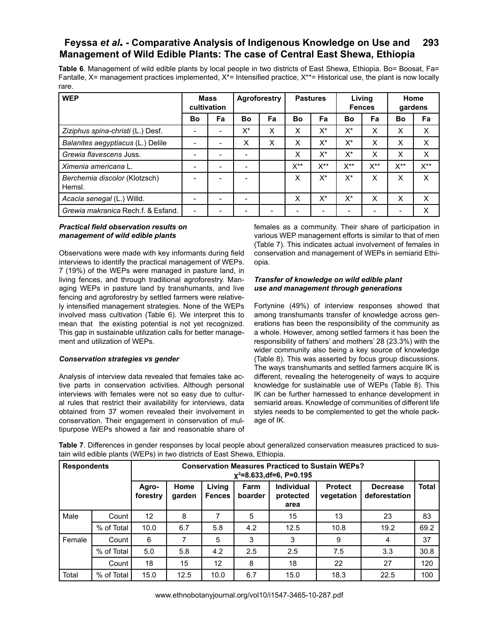**Table 6**. Management of wild edible plants by local people in two districts of East Shewa, Ethiopia. Bo= Boosat, Fa= Fantalle,  $X=$  management practices implemented,  $X=$  Intensified practice,  $X=$  Historical use, the plant is now locally rare.

| <b>WEP</b>                              | <b>Mass</b>              | cultivation | <b>Agroforestry</b><br><b>Pastures</b> |    |     | Living<br><b>Fences</b> |          | Home<br>gardens |                |                  |
|-----------------------------------------|--------------------------|-------------|----------------------------------------|----|-----|-------------------------|----------|-----------------|----------------|------------------|
|                                         | Bo                       | Fa          | Bo                                     | Fa | Bo  | Fa                      | Bo       | Fa              | Bo             | Fa               |
| Ziziphus spina-christi (L.) Desf.       |                          |             | $X^*$                                  | X  | X   | $X^*$                   | X*       | X               | X              | X                |
| Balanites aegyptiacus (L.) Delile       |                          |             | X                                      | X  | X   | X*                      | X*       | X               | X              | X                |
| Grewia flavescens Juss.                 |                          |             |                                        |    | X   | X*                      | X*       | X               | X              | X                |
| Ximenia americana L.                    |                          |             |                                        |    | X** | X**                     | $X^{**}$ | $X^{**}$        | $X^{\ast\ast}$ | $X^{\star\star}$ |
| Berchemia discolor (Klotzsch)<br>Hemsl. |                          |             |                                        |    | X   | $X^*$                   | $X^*$    | X               | X              | X                |
| Acacia senegal (L.) Willd.              | $\overline{\phantom{0}}$ |             |                                        |    | X   | $X^*$                   | X*       | X               | X              | X                |
| Grewia makranica Rech.f. & Esfand.      | $\overline{\phantom{a}}$ |             |                                        |    |     |                         |          |                 |                | X                |

#### *Practical field observation results on management of wild edible plants*

Observations were made with key informants during field interviews to identify the practical management of WEPs. 7 (19%) of the WEPs were managed in pasture land, in living fences, and through traditional agroforestry. Managing WEPs in pasture land by transhumants, and live fencing and agroforestry by settled farmers were relatively intensified management strategies. None of the WEPs involved mass cultivation (Table 6). We interpret this to mean that the existing potential is not yet recognized. This gap in sustainable utilization calls for better management and utilization of WEPs.

#### *Conservation strategies vs gender*

Analysis of interview data revealed that females take active parts in conservation activities. Although personal interviews with females were not so easy due to cultural rules that restrict their availability for interviews, data obtained from 37 women revealed their involvement in conservation. Their engagement in conservation of multipurpose WEPs showed a fair and reasonable share of females as a community. Their share of participation in various WEP management efforts is similar to that of men (Table 7). This indicates actual involvement of females in conservation and management of WEPs in semiarid Ethiopia.

#### *Transfer of knowledge on wild edible plant use and management through generations*

Fortynine (49%) of interview responses showed that among transhumants transfer of knowledge across generations has been the responsibility of the community as a whole. However, among settled farmers it has been the responsibility of fathers' and mothers' 28 (23.3%) with the wider community also being a key source of knowledge (Table 8). This was asserted by focus group discussions. The ways transhumants and settled farmers acquire IK is different, revealing the heterogeneity of ways to acquire knowledge for sustainable use of WEPs (Table 8). This IK can be further harnessed to enhance development in semiarid areas. Knowledge of communities of different life styles needs to be complemented to get the whole package of IK.

| Table 7. Differences in gender responses by local people about generalized conservation measures practiced to sus- |  |
|--------------------------------------------------------------------------------------------------------------------|--|
| tain wild edible plants (WEPs) in two districts of East Shewa, Ethiopia.                                           |  |

| <b>Respondents</b> |            | <b>Conservation Measures Practiced to Sustain WEPs?</b><br>$x^2=8.633, df=6, P=0.195$ |                |                         |                 |                                        |                              |                                  |              |  |
|--------------------|------------|---------------------------------------------------------------------------------------|----------------|-------------------------|-----------------|----------------------------------------|------------------------------|----------------------------------|--------------|--|
|                    |            | Agro-<br>forestry                                                                     | Home<br>garden | Living<br><b>Fences</b> | Farm<br>boarder | <b>Individual</b><br>protected<br>area | <b>Protect</b><br>vegetation | <b>Decrease</b><br>deforestation | <b>Total</b> |  |
| Male               | Count      | $12 \overline{ }$                                                                     | 8              |                         | 5               | 15                                     | 13                           | 23                               | 83           |  |
|                    | % of Total | 10.0                                                                                  | 6.7            | 5.8                     | 4.2             | 12.5                                   | 10.8                         | 19.2                             | 69.2         |  |
| Female             | Count      | 6                                                                                     |                | 5                       | 3               | 3                                      | 9                            | 4                                | 37           |  |
|                    | % of Total | 5.0                                                                                   | 5.8            | 4.2                     | 2.5             | 2.5                                    | 7.5                          | 3.3                              | 30.8         |  |
|                    | Count      | 18                                                                                    | 15             | 12                      | 8               | 18                                     | 22                           | 27                               | 120          |  |
| Total              | % of Total | 15.0                                                                                  | 12.5           | 10.0                    | 6.7             | 15.0                                   | 18.3                         | 22.5                             | 100          |  |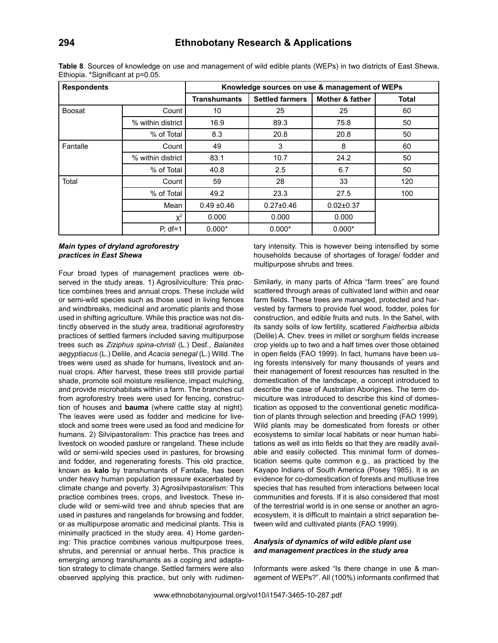| <b>Respondents</b> |                   |                     |                        | Knowledge sources on use & management of WEPs |              |
|--------------------|-------------------|---------------------|------------------------|-----------------------------------------------|--------------|
|                    |                   | <b>Transhumants</b> | <b>Settled farmers</b> | <b>Mother &amp; father</b>                    | <b>Total</b> |
| Boosat             | Count             | 10                  | 25                     | 25                                            | 60           |
|                    | % within district | 16.9                | 89.3                   | 75.8                                          | 50           |
|                    | % of Total        | 8.3                 | 20.8                   | 20.8                                          | 50           |
| Fantalle           | Count             | 49                  | 3                      | 8                                             | 60           |
|                    | % within district | 83.1                | 10.7                   | 24.2                                          | 50           |
|                    | % of Total        | 40.8                | 2.5                    | 6.7                                           | 50           |
| Total              | Count             | 59                  | 28                     | 33                                            | 120          |
|                    | % of Total        | 49.2                | 23.3                   | 27.5                                          | 100          |
|                    | Mean              | $0.49 + 0.46$       | $0.27 \pm 0.46$        | $0.02 \pm 0.37$                               |              |
|                    | $X^2$             | 0.000               | 0.000                  | 0.000                                         |              |
|                    | $P, df=1$         | $0.000*$            | $0.000*$               | $0.000*$                                      |              |

**Table 8**. Sources of knowledge on use and management of wild edible plants (WEPs) in two districts of East Shewa, Ethiopia. \*Significant at p=0.05.

#### *Main types of dryland agroforestry practices in East Shewa*

Four broad types of management practices were observed in the study areas. 1) Agrosilviculture: This practice combines trees and annual crops. These include wild or semi-wild species such as those used in living fences and windbreaks, medicinal and aromatic plants and those used in shifting agriculture. While this practice was not distinctly observed in the study area, traditional agroforestry practices of settled farmers included saving multipurpose trees such as *Ziziphus spina-christi* (L.) Desf., *Balanites aegyptiacus* (L.) Delile, and *Acacia senegal* (L.) Willd. The trees were used as shade for humans, livestock and annual crops. After harvest, these trees still provide partial shade, promote soil moisture resilience, impact mulching, and provide microhabitats within a farm. The branches cut from agroforestry trees were used for fencing, construction of houses and **bauma** (where cattle stay at night). The leaves were used as fodder and medicine for livestock and some trees were used as food and medicine for humans. 2) Silvipastoralism: This practice has trees and livestock on wooded pasture or rangeland. These include wild or semi-wild species used in pastures, for browsing and fodder, and regenerating forests. This old practice, known as **kalo** by transhumants of Fantalle, has been under heavy human population pressure exacerbated by climate change and poverty. 3) Agrosilvipastoralism: This practice combines trees, crops, and livestock. These include wild or semi-wild tree and shrub species that are used in pastures and rangelands for browsing and fodder, or as multipurpose aromatic and medicinal plants. This is minimally practiced in the study area. 4) Home gardening: This practice combines various multipurpose trees, shrubs, and perennial or annual herbs. This practice is emerging among transhumants as a coping and adaptation strategy to climate change. Settled farmers were also observed applying this practice, but only with rudimentary intensity. This is however being intensified by some households because of shortages of forage/ fodder and multipurpose shrubs and trees.

Similarly, in many parts of Africa "farm trees" are found scattered through areas of cultivated land within and near farm fields. These trees are managed, protected and harvested by farmers to provide fuel wood, fodder, poles for construction, and edible fruits and nuts. In the Sahel, with its sandy soils of low fertility, scattered *Faidherbia albida* (Delile) A. Chev. trees in millet or sorghum fields increase crop yields up to two and a half times over those obtained in open fields (FAO 1999). In fact, humans have been using forests intensively for many thousands of years and their management of forest resources has resulted in the domestication of the landscape, a concept introduced to describe the case of Australian Aborigines. The term domiculture was introduced to describe this kind of domestication as opposed to the conventional genetic modification of plants through selection and breeding (FAO 1999). Wild plants may be domesticated from forests or other ecosystems to similar local habitats or near human habitations as well as into fields so that they are readily available and easily collected. This minimal form of domestication seems quite common e.g., as practiced by the Kayapo Indians of South America (Posey 1985). It is an evidence for co-domestication of forests and multiuse tree species that has resulted from interactions between local communities and forests. If it is also considered that most of the terrestrial world is in one sense or another an agroecosystem, it is difficult to maintain a strict separation between wild and cultivated plants (FAO 1999).

#### *Analysis of dynamics of wild edible plant use and management practices in the study area*

Informants were asked "Is there change in use & management of WEPs?". All (100%) informants confirmed that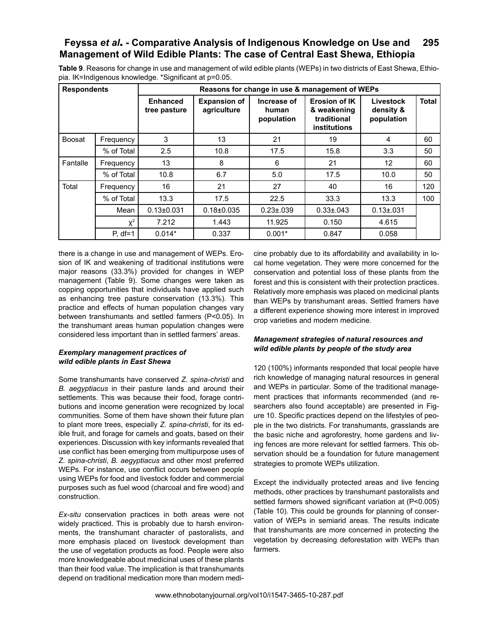**Table 9**. Reasons for change in use and management of wild edible plants (WEPs) in two districts of East Shewa, Ethiopia. IK=Indigenous knowledge. \*Significant at p=0.05.

| <b>Respondents</b> |            |                                 |                                    |                                    | Reasons for change in use & management of WEPs                            |                                      |              |
|--------------------|------------|---------------------------------|------------------------------------|------------------------------------|---------------------------------------------------------------------------|--------------------------------------|--------------|
|                    |            | <b>Enhanced</b><br>tree pasture | <b>Expansion of</b><br>agriculture | Increase of<br>human<br>population | <b>Erosion of IK</b><br>& weakening<br>traditional<br><b>institutions</b> | Livestock<br>density &<br>population | <b>Total</b> |
| <b>Boosat</b>      | Frequency  | 3                               | 13                                 | 21                                 | 19                                                                        | 4                                    | 60           |
|                    | % of Total | 2.5                             | 10.8                               | 17.5                               | 15.8                                                                      | 3.3                                  | 50           |
| Fantalle           | Frequency  | 13                              | 8                                  | 6                                  | 21                                                                        | 12                                   | 60           |
|                    | % of Total | 10.8                            | 6.7                                | 5.0                                | 17.5                                                                      | 10.0                                 | 50           |
| Total              | Frequency  | 16                              | 21                                 | 27                                 | 40                                                                        | 16                                   | 120          |
|                    | % of Total | 13.3                            | 17.5                               | 22.5                               | 33.3                                                                      | 13.3                                 | 100          |
|                    | Mean       | $0.13 \pm 0.031$                | $0.18 \pm 0.035$                   | $0.23 \pm 0.039$                   | $0.33 \pm 0.043$                                                          | $0.13 \pm 0.031$                     |              |
|                    | $X^2$      | 7.212                           | 1.443                              | 11.925                             | 0.150                                                                     | 4.615                                |              |
|                    | $P. df=1$  | $0.014*$                        | 0.337                              | $0.001*$                           | 0.847                                                                     | 0.058                                |              |

there is a change in use and management of WEPs. Erosion of IK and weakening of traditional institutions were major reasons (33.3%) provided for changes in WEP management (Table 9). Some changes were taken as copping opportunities that individuals have applied such as enhancing tree pasture conservation (13.3%). This practice and effects of human population changes vary between transhumants and settled farmers (P<0.05). In the transhumant areas human population changes were considered less important than in settled farmers' areas.

#### *Exemplary management practices of wild edible plants in East Shewa*

Some transhumants have conserved *Z. spina-christi* and *B. aegyptiacus* in their pasture lands and around their settlements. This was because their food, forage contributions and income generation were recognized by local communities. Some of them have shown their future plan to plant more trees, especially *Z. spina-christi*, for its edible fruit, and forage for camels and goats, based on their experiences. Discussion with key informants revealed that use conflict has been emerging from multipurpose uses of *Z. spina-christi*, *B. aegyptiacus* and other most preferred WEPs. For instance, use conflict occurs between people using WEPs for food and livestock fodder and commercial purposes such as fuel wood (charcoal and fire wood) and construction.

*Ex-situ* conservation practices in both areas were not widely practiced. This is probably due to harsh environments, the transhumant character of pastoralists, and more emphasis placed on livestock development than the use of vegetation products as food. People were also more knowledgeable about medicinal uses of these plants than their food value. The implication is that transhumants depend on traditional medication more than modern medi-

cine probably due to its affordability and availability in local home vegetation. They were more concerned for the conservation and potential loss of these plants from the forest and this is consistent with their protection practices. Relatively more emphasis was placed on medicinal plants than WEPs by transhumant areas. Settled framers have a different experience showing more interest in improved crop varieties and modern medicine.

#### *Management strategies of natural resources and wild edible plants by people of the study area*

120 (100%) informants responded that local people have rich knowledge of managing natural resources in general and WEPs in particular. Some of the traditional management practices that informants recommended (and researchers also found acceptable) are presented in Figure 10. Specific practices depend on the lifestyles of people in the two districts. For transhumants, grasslands are the basic niche and agroforestry, home gardens and living fences are more relevant for settled farmers. This observation should be a foundation for future management strategies to promote WEPs utilization.

Except the individually protected areas and live fencing methods, other practices by transhumant pastoralists and settled farmers showed significant variation at (P<0.005) (Table 10). This could be grounds for planning of conservation of WEPs in semiarid areas. The results indicate that transhumants are more concerned in protecting the vegetation by decreasing deforestation with WEPs than farmers.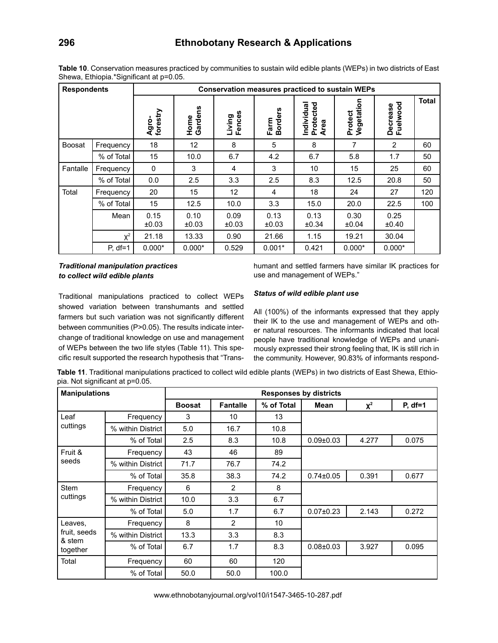| <b>Respondents</b> |            |                   |                 | <b>Conservation measures practiced to sustain WEPs</b> |                              |                                 |                       |                      |              |
|--------------------|------------|-------------------|-----------------|--------------------------------------------------------|------------------------------|---------------------------------|-----------------------|----------------------|--------------|
|                    |            | Agro-<br>forestry | Home<br>Gardens | Fences<br>Living                                       | ပ္ပ<br><b>Border</b><br>Farm | Individual<br>Protected<br>Area | Protect<br>Vegetation | Decrease<br>Fuelwood | <b>Total</b> |
| Boosat             | Frequency  | 18                | 12              | 8                                                      | 5                            | 8                               | 7                     | 2                    | 60           |
|                    | % of Total | 15                | 10.0            | 6.7                                                    | 4.2                          | 6.7                             | 5.8                   | 1.7                  | 50           |
| Fantalle           | Frequency  | 0                 | 3               | 4                                                      | 3                            | 10                              | 15                    | 25                   | 60           |
|                    | % of Total | 0.0               | 2.5             | 3.3                                                    | 2.5                          | 8.3                             | 12.5                  | 20.8                 | 50           |
| Total              | Frequency  | 20                | 15              | 12 <sup>2</sup>                                        | 4                            | 18                              | 24                    | 27                   | 120          |
|                    | % of Total | 15                | 12.5            | 10.0                                                   | 3.3                          | 15.0                            | 20.0                  | 22.5                 | 100          |
|                    | Mean       | 0.15<br>±0.03     | 0.10<br>±0.03   | 0.09<br>±0.03                                          | 0.13<br>±0.03                | 0.13<br>±0.34                   | 0.30<br>±0.04         | 0.25<br>±0.40        |              |
|                    | $X^2$      | 21.18             | 13.33           | 0.90                                                   | 21.66                        | 1.15                            | 19.21                 | 30.04                |              |
|                    | $P, df=1$  | $0.000*$          | $0.000*$        | 0.529                                                  | $0.001*$                     | 0.421                           | $0.000*$              | $0.000*$             |              |

**Table 10**. Conservation measures practiced by communities to sustain wild edible plants (WEPs) in two districts of East Shewa, Ethiopia.\*Significant at p=0.05.

# *Traditional manipulation practices to collect wild edible plants*

humant and settled farmers have similar IK practices for use and management of WEPs."

### *Status of wild edible plant use*

Traditional manipulations practiced to collect WEPs showed variation between transhumants and settled farmers but such variation was not significantly different between communities (P>0.05). The results indicate interchange of traditional knowledge on use and management of WEPs between the two life styles (Table 11). This specific result supported the research hypothesis that "Trans-

All (100%) of the informants expressed that they apply their IK to the use and management of WEPs and other natural resources. The informants indicated that local people have traditional knowledge of WEPs and unanimously expressed their strong feeling that, IK is still rich in the community. However, 90.83% of informants respond-

**Table 11**. Traditional manipulations practiced to collect wild edible plants (WEPs) in two districts of East Shewa, Ethiopia. Not significant at p=0.05.

| <b>Manipulations</b>        |                   |               |                 |            | <b>Responses by districts</b> |          |           |
|-----------------------------|-------------------|---------------|-----------------|------------|-------------------------------|----------|-----------|
|                             |                   | <b>Boosat</b> | <b>Fantalle</b> | % of Total | Mean                          | $\chi^2$ | $P, df=1$ |
| Leaf                        | Frequency         | 3             | 10              | 13         |                               |          |           |
| cuttings                    | % within District | 5.0           | 16.7            | 10.8       |                               |          |           |
|                             | % of Total        | 2.5           | 8.3             | 10.8       | $0.09 \pm 0.03$               | 4.277    | 0.075     |
| Fruit &                     | Frequency         | 43            | 46              | 89         |                               |          |           |
| seeds                       | % within District | 71.7          | 76.7            | 74.2       |                               |          |           |
|                             | % of Total        | 35.8          | 38.3            | 74.2       | $0.74 \pm 0.05$               | 0.391    | 0.677     |
| <b>Stem</b>                 | Frequency         | 6             | $\overline{2}$  | 8          |                               |          |           |
| cuttings                    | % within District | 10.0          | 3.3             | 6.7        |                               |          |           |
|                             | % of Total        | 5.0           | 1.7             | 6.7        | $0.07 \pm 0.23$               | 2.143    | 0.272     |
| Leaves,                     | Frequency         | 8             | $\overline{2}$  | 10         |                               |          |           |
| fruit, seeds                | % within District | 13.3          | 3.3             | 8.3        |                               |          |           |
| & stem<br>together<br>Total | % of Total        | 6.7           | 1.7             | 8.3        | $0.08 + 0.03$                 | 3.927    | 0.095     |
|                             | Frequency         | 60            | 60              | 120        |                               |          |           |
|                             | % of Total        | 50.0          | 50.0            | 100.0      |                               |          |           |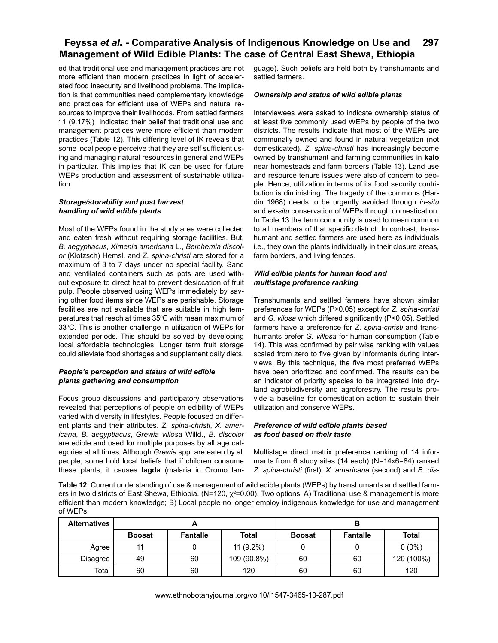ed that traditional use and management practices are not more efficient than modern practices in light of accelerated food insecurity and livelihood problems. The implication is that communities need complementary knowledge and practices for efficient use of WEPs and natural resources to improve their livelihoods. From settled farmers 11 (9.17%) indicated their belief that traditional use and management practices were more efficient than modern practices (Table 12). This differing level of IK reveals that some local people perceive that they are self sufficient using and managing natural resources in general and WEPs in particular. This implies that IK can be used for future WEPs production and assessment of sustainable utilization.

#### *Storage/storability and post harvest handling of wild edible plants*

Most of the WEPs found in the study area were collected and eaten fresh without requiring storage facilities. But, *B. aegyptiacus*, *Ximenia americana* L., *Berchemia discolor* (Klotzsch) Hemsl. and *Z. spina-christi* are stored for a maximum of 3 to 7 days under no special facility. Sand and ventilated containers such as pots are used without exposure to direct heat to prevent desiccation of fruit pulp. People observed using WEPs immediately by saving other food items since WEPs are perishable. Storage facilities are not available that are suitable in high temperatures that reach at times 35°C with mean maximum of 33°C. This is another challenge in utilization of WEPs for extended periods. This should be solved by developing local affordable technologies. Longer term fruit storage could alleviate food shortages and supplement daily diets.

#### *People's perception and status of wild edible plants gathering and consumption*

Focus group discussions and participatory observations revealed that perceptions of people on edibility of WEPs varied with diversity in lifestyles. People focused on different plants and their attributes. *Z. spina-christi*, *X. americana*, *B. aegyptiacus*, *Grewia villosa* Willd., *B. discolor* are edible and used for multiple purposes by all age categories at all times. Although *Grewia* spp. are eaten by all people, some hold local beliefs that if children consume these plants, it causes **lagda** (malaria in Oromo language). Such beliefs are held both by transhumants and settled farmers.

#### *Ownership and status of wild edible plants*

Interviewees were asked to indicate ownership status of at least five commonly used WEPs by people of the two districts. The results indicate that most of the WEPs are communally owned and found in natural vegetation (not domesticated). *Z. spina-christi* has increasingly become owned by transhumant and farming communities in **kalo** near homesteads and farm borders (Table 13). Land use and resource tenure issues were also of concern to people. Hence, utilization in terms of its food security contribution is diminishing. The tragedy of the commons (Hardin 1968) needs to be urgently avoided through *in-situ* and *ex-situ* conservation of WEPs through domestication. In Table 13 the term community is used to mean common to all members of that specific district. In contrast, transhumant and settled farmers are used here as individuals i.e., they own the plants individually in their closure areas, farm borders, and living fences.

#### *Wild edible plants for human food and multistage preference ranking*

Transhumants and settled farmers have shown similar preferences for WEPs (P>0.05) except for *Z. spina-christi* and *G. vilosa* which differed significantly (P<0.05). Settled farmers have a preference for *Z. spina-christi* and transhumants prefer *G. villosa* for human consumption (Table 14). This was confirmed by pair wise ranking with values scaled from zero to five given by informants during interviews. By this technique, the five most preferred WEPs have been prioritized and confirmed. The results can be an indicator of priority species to be integrated into dryland agrobiodiversity and agroforestry. The results provide a baseline for domestication action to sustain their utilization and conserve WEPs.

#### *Preference of wild edible plants based as food based on their taste*

Multistage direct matrix preference ranking of 14 informants from 6 study sites (14 each) (N=14x6=84) ranked *Z. spina-christi* (first), *X. americana* (second) and *B. dis-*

**Table 12**. Current understanding of use & management of wild edible plants (WEPs) by transhumants and settled farmers in two districts of East Shewa, Ethiopia. (N=120, χ²=0.00). Two options: A) Traditional use & management is more efficient than modern knowledge; B) Local people no longer employ indigenous knowledge for use and management of WEPs.

| <b>Alternatives</b> |               |                 |              | P             |                 |              |  |  |  |  |
|---------------------|---------------|-----------------|--------------|---------------|-----------------|--------------|--|--|--|--|
|                     | <b>Boosat</b> | <b>Fantalle</b> | <b>Total</b> | <b>Boosat</b> | <b>Fantalle</b> | <b>Total</b> |  |  |  |  |
| Agree               | 11            |                 | $11(9.2\%)$  |               |                 | $0(0\%)$     |  |  |  |  |
| Disagree            | 49            | 60              | 109 (90.8%)  | 60            | 60              | 120 (100%)   |  |  |  |  |
| Total               | 60            | 60              | 120          | 60            | 60              | 120          |  |  |  |  |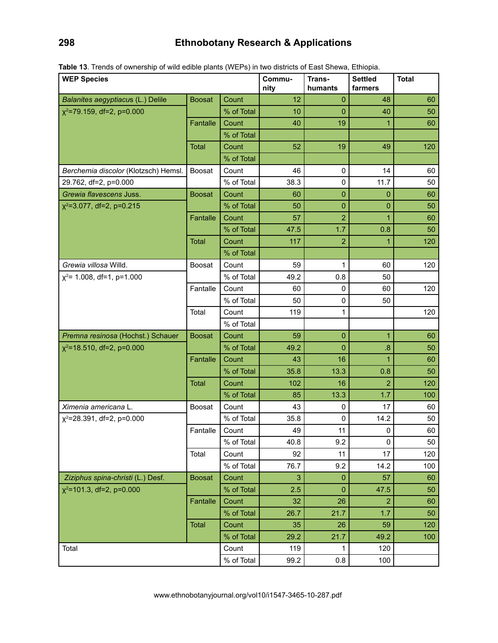# **298 Ethnobotany Research & Applications**

| <b>WEP Species</b>                   |               | Commu-<br>nity | Trans-<br>humants | <b>Settled</b><br>farmers | <b>Total</b>   |     |
|--------------------------------------|---------------|----------------|-------------------|---------------------------|----------------|-----|
| Balanites aegyptiacus (L.) Delile    | <b>Boosat</b> | Count          | 12                | 0                         | 48             | 60  |
| $x^2$ =79.159, df=2, p=0.000         |               | % of Total     | 10                | $\overline{0}$            | 40             | 50  |
|                                      | Fantalle      | Count          | 40                | 19                        | 1              | 60  |
|                                      |               | % of Total     |                   |                           |                |     |
|                                      | <b>Total</b>  | Count          | 52                | 19                        | 49             | 120 |
|                                      |               | % of Total     |                   |                           |                |     |
| Berchemia discolor (Klotzsch) Hemsl. | Boosat        | Count          | 46                | $\mathbf 0$               | 14             | 60  |
| 29.762, df=2, p=0.000                |               | % of Total     | 38.3              | 0                         | 11.7           | 50  |
| Grewia flavescens Juss.              | <b>Boosat</b> | Count          | 60                | $\pmb{0}$                 | 0              | 60  |
| $x^2$ =3.077, df=2, p=0.215          |               | % of Total     | 50                | 0                         | 0              | 50  |
|                                      | Fantalle      | Count          | 57                | 2                         | 1              | 60  |
|                                      |               | % of Total     | 47.5              | 1.7                       | 0.8            | 50  |
|                                      | <b>Total</b>  | Count          | 117               | 2                         | 1              | 120 |
|                                      |               | % of Total     |                   |                           |                |     |
| Grewia villosa Willd.                | Boosat        | Count          | 59                | 1                         | 60             | 120 |
| $x^2$ = 1.008, df = 1, p = 1.000     |               | % of Total     | 49.2              | 0.8                       | 50             |     |
|                                      | Fantalle      | Count          | 60                | $\mathbf 0$               | 60             | 120 |
|                                      |               | % of Total     | 50                | 0                         | 50             |     |
|                                      | Total         | Count          | 119               | 1                         |                | 120 |
|                                      |               | % of Total     |                   |                           |                |     |
| Premna resinosa (Hochst.) Schauer    | <b>Boosat</b> | Count          | 59                | $\pmb{0}$                 | 1              | 60  |
| $x^2$ =18.510, df=2, p=0.000         |               | % of Total     | 49.2              | $\overline{0}$            | .8             | 50  |
|                                      | Fantalle      | Count          | 43                | 16                        | $\mathbf{1}$   | 60  |
|                                      |               | % of Total     | 35.8              | 13.3                      | 0.8            | 50  |
|                                      | <b>Total</b>  | Count          | 102               | 16                        | $\overline{2}$ | 120 |
|                                      |               | % of Total     | 85                | 13.3                      | 1.7            | 100 |
| Ximenia americana L.                 | Boosat        | Count          | 43                | 0                         | 17             | 60  |
| $x^2$ =28.391, df=2, p=0.000         |               | % of Total     | 35.8              | $\mathbf 0$               | 14.2           | 50  |
|                                      | Fantalle      | Count          | 49                | 11                        | 0              | 60  |
|                                      |               | % of Total     | 40.8              | 9.2                       | 0              | 50  |
|                                      | Total         | Count          | 92                | 11                        | 17             | 120 |
|                                      |               | % of Total     | 76.7              | 9.2                       | 14.2           | 100 |
| Ziziphus spina-christi (L.) Desf.    | <b>Boosat</b> | Count          | 3                 | $\mathbf 0$               | 57             | 60  |
| $x^2$ =101.3, df=2, p=0.000          |               | % of Total     | 2.5               | $\mathbf{0}$              | 47.5           | 50  |
|                                      | Fantalle      | Count          | 32                | 26                        | 2              | 60  |
|                                      |               | % of Total     | 26.7              | 21.7                      | 1.7            | 50  |
|                                      | Total         | Count          | 35                | 26                        | 59             | 120 |
|                                      |               | % of Total     | 29.2              | 21.7                      | 49.2           | 100 |
| Total                                | Count         | 119            | 1                 | 120                       |                |     |
|                                      |               | % of Total     | 99.2              | 0.8                       | 100            |     |

**Table 13**. Trends of ownership of wild edible plants (WEPs) in two districts of East Shewa, Ethiopia.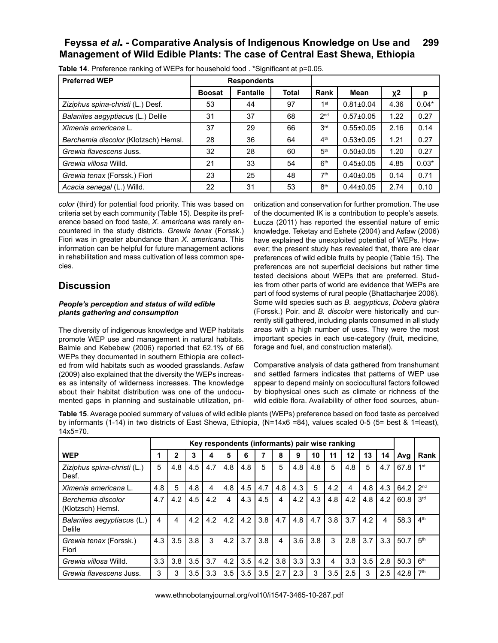| <b>Preferred WEP</b>                 |               | <b>Respondents</b> |              |                                    |                 |      |         |
|--------------------------------------|---------------|--------------------|--------------|------------------------------------|-----------------|------|---------|
|                                      | <b>Boosat</b> | <b>Fantalle</b>    | <b>Total</b> | Rank                               | Mean            | χ2   | р       |
| Ziziphus spina-christi (L.) Desf.    | 53            | 44                 | 97           | 1 <sup>st</sup><br>$0.81 \pm 0.04$ |                 | 4.36 | $0.04*$ |
| Balanites aegyptiacus (L.) Delile    | 31            | 37                 | 68           | 2 <sub>nd</sub><br>$0.57 \pm 0.05$ |                 | 1.22 | 0.27    |
| Ximenia americana L.                 | 37            | 29                 | 66           | 3 <sup>rd</sup>                    | $0.55 \pm 0.05$ | 2.16 | 0.14    |
| Berchemia discolor (Klotzsch) Hemsl. | 28            | 36                 | 64           | 4 <sup>th</sup>                    | $0.53 \pm 0.05$ | 1.21 | 0.27    |
| Grewia flavescens Juss.              | 32            | 28                 | 60           | 5 <sup>th</sup>                    | $0.50 \pm 0.05$ | 1.20 | 0.27    |
| Grewia villosa Willd.                | 21            | 33                 | 54           | 6 <sup>th</sup>                    | $0.45 \pm 0.05$ | 4.85 | $0.03*$ |
| Grewia tenax (Forssk.) Fiori         | 23            | 25                 | 48           | 7 <sup>th</sup>                    | $0.40 \pm 0.05$ | 0.14 | 0.71    |
| Acacia senegal (L.) Willd.           | 22            | 31                 | 53           | 8 <sup>th</sup>                    | $0.44 \pm 0.05$ | 2.74 | 0.10    |

**Table 14**. Preference ranking of WEPs for household food . \*Significant at p=0.05.

*color* (third) for potential food priority. This was based on criteria set by each community (Table 15). Despite its preference based on food taste, *X. americana* was rarely encountered in the study districts. *Grewia tenax* (Forssk.) Fiori was in greater abundance than *X. americana*. This information can be helpful for future management actions in rehabilitation and mass cultivation of less common species.

# **Discussion**

#### *People's perception and status of wild edible plants gathering and consumption*

The diversity of indigenous knowledge and WEP habitats promote WEP use and management in natural habitats. Balmie and Kebebew (2006) reported that 62.1% of 66 WEPs they documented in southern Ethiopia are collected from wild habitats such as wooded grasslands. Asfaw (2009) also explained that the diversity the WEPs increases as intensity of wilderness increases. The knowledge about their habitat distribution was one of the undocumented gaps in planning and sustainable utilization, prioritization and conservation for further promotion. The use of the documented IK is a contribution to people's assets. Łucza (2011) has reported the essential nature of emic knowledge. Teketay and Eshete (2004) and Asfaw (2006) have explained the unexploited potential of WEPs. However; the present study has revealed that, there are clear preferences of wild edible fruits by people (Table 15). The preferences are not superficial decisions but rather time tested decisions about WEPs that are preferred. Studies from other parts of world are evidence that WEPs are part of food systems of rural people (Bhattacharjee 2006). Some wild species such as *B. aegypticus*, *Dobera glabra* (Forssk.) Poir. and *B. discolor* were historically and currently still gathered, including plants consumed in all study areas with a high number of uses. They were the most important species in each use-category (fruit, medicine, forage and fuel, and construction material).

Comparative analysis of data gathered from transhumant and settled farmers indicates that patterns of WEP use appear to depend mainly on sociocultural factors followed by biophysical ones such as climate or richness of the wild edible flora. Availability of other food sources, abun-

**Table 15**. Average pooled summary of values of wild edible plants (WEPs) preference based on food taste as perceived by informants (1-14) in two districts of East Shewa, Ethiopia, (N=14x6 =84), values scaled 0-5 (5= best & 1=least), 14x5=70.

|                                         | Key respondents (informants) pair wise ranking |     |     |     |     |     |     |     |     |     |     |     |     |     |      |                 |
|-----------------------------------------|------------------------------------------------|-----|-----|-----|-----|-----|-----|-----|-----|-----|-----|-----|-----|-----|------|-----------------|
| <b>WEP</b>                              |                                                | 2   | 3   | 4   | 5   | 6   |     | 8   | 9   | 10  | 11  | 12  | 13  | 14  | Avg  | Rank            |
| Ziziphus spina-christi (L.)<br>Desf.    | 5                                              | 4.8 | 4.5 | 4.7 | 4.8 | 4.8 | 5   | 5   | 4.8 | 4.8 | 5   | 4.8 | 5   | 4.7 | 67.8 | 1 <sup>st</sup> |
| Ximenia americana L.                    | 4.8                                            | 5   | 4.8 | 4   | 4.8 | 4.5 | 4.7 | 4.8 | 4.3 | 5   | 4.2 | 4   | 4.8 | 4.3 | 64.2 | 2 <sub>nd</sub> |
| Berchemia discolor<br>(Klotzsch) Hemsl. | 4.7                                            | 4.2 | 4.5 | 4.2 | 4   | 4.3 | 4.5 | 4   | 4.2 | 4.3 | 4.8 | 4.2 | 4.8 | 4.2 | 60.8 | 3 <sup>rd</sup> |
| Balanites aegyptiacus (L.)<br>Delile    | 4                                              | 4   | 4.2 | 4.2 | 4.2 | 4.2 | 3.8 | 4.7 | 4.8 | 4.7 | 3.8 | 3.7 | 4.2 | 4   | 58.3 | 4 <sup>th</sup> |
| Grewia tenax (Forssk.)<br>Fiori         | 4.3                                            | 3.5 | 3.8 | 3   | 4.2 | 3.7 | 3.8 | 4   | 3.6 | 3.8 | 3   | 2.8 | 3.7 | 3.3 | 50.7 | 5 <sup>th</sup> |
| Grewia villosa Willd.                   | 3.3                                            | 3.8 | 3.5 | 3.7 | 4.2 | 3.5 | 4.2 | 3.8 | 3.3 | 3.3 | 4   | 3.3 | 3.5 | 2.8 | 50.3 | 6 <sup>th</sup> |
| Grewia flavescens Juss.                 | 3                                              | 3   | 3.5 | 3.3 | 3.5 | 3.5 | 3.5 | 2.7 | 2.3 | 3   | 3.5 | 2.5 | 3   | 2.5 | 42.8 | 7 <sup>th</sup> |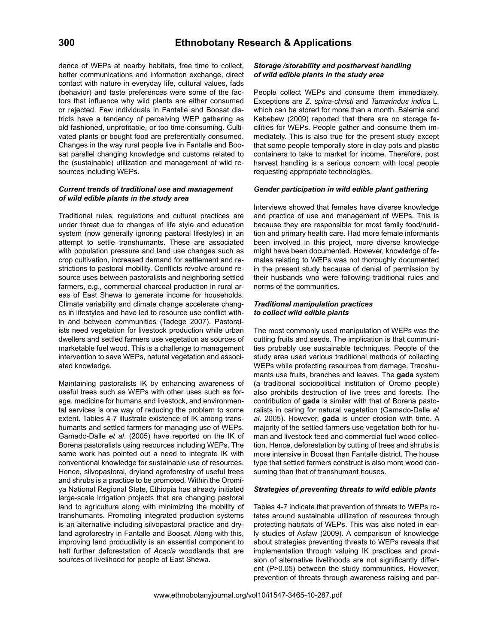dance of WEPs at nearby habitats, free time to collect, better communications and information exchange, direct contact with nature in everyday life, cultural values, fads (behavior) and taste preferences were some of the factors that influence why wild plants are either consumed or rejected. Few individuals in Fantalle and Boosat districts have a tendency of perceiving WEP gathering as old fashioned, unprofitable, or too time-consuming. Cultivated plants or bought food are preferentially consumed. Changes in the way rural people live in Fantalle and Boosat parallel changing knowledge and customs related to the (sustainable) utilization and management of wild resources including WEPs.

#### *Current trends of traditional use and management of wild edible plants in the study area*

Traditional rules, regulations and cultural practices are under threat due to changes of life style and education system (now generally ignoring pastoral lifestyles) in an attempt to settle transhumants. These are associated with population pressure and land use changes such as crop cultivation, increased demand for settlement and restrictions to pastoral mobility. Conflicts revolve around resource uses between pastoralists and neighboring settled farmers, e.g., commercial charcoal production in rural areas of East Shewa to generate income for households. Climate variability and climate change accelerate changes in lifestyles and have led to resource use conflict within and between communities (Tadege 2007). Pastoralists need vegetation for livestock production while urban dwellers and settled farmers use vegetation as sources of marketable fuel wood. This is a challenge to management intervention to save WEPs, natural vegetation and associated knowledge.

Maintaining pastoralists IK by enhancing awareness of useful trees such as WEPs with other uses such as forage, medicine for humans and livestock, and environmental services is one way of reducing the problem to some extent. Tables 4-7 illustrate existence of IK among transhumants and settled farmers for managing use of WEPs. Gamado-Dalle *et al*. (2005) have reported on the IK of Borena pastoralists using resources including WEPs. The same work has pointed out a need to integrate IK with conventional knowledge for sustainable use of resources. Hence, silvopastoral, dryland agroforestry of useful trees and shrubs is a practice to be promoted. Within the Oromiya National Regional State, Ethiopia has already initiated large-scale irrigation projects that are changing pastoral land to agriculture along with minimizing the mobility of transhumants. Promoting integrated production systems is an alternative including silvopastoral practice and dryland agroforestry in Fantalle and Boosat. Along with this, improving land productivity is an essential component to halt further deforestation of *Acacia* woodlands that are sources of livelihood for people of East Shewa.

#### *Storage /storability and postharvest handling of wild edible plants in the study area*

People collect WEPs and consume them immediately. Exceptions are *Z. spina-christi* and *Tamarindus indica* L. which can be stored for more than a month. Balemie and Kebebew (2009) reported that there are no storage facilities for WEPs. People gather and consume them immediately. This is also true for the present study except that some people temporally store in clay pots and plastic containers to take to market for income. Therefore, post harvest handling is a serious concern with local people requesting appropriate technologies.

#### *Gender participation in wild edible plant gathering*

Interviews showed that females have diverse knowledge and practice of use and management of WEPs. This is because they are responsible for most family food/nutrition and primary health care. Had more female informants been involved in this project, more diverse knowledge might have been documented. However, knowledge of females relating to WEPs was not thoroughly documented in the present study because of denial of permission by their husbands who were following traditional rules and norms of the communities.

#### *Traditional manipulation practices to collect wild edible plants*

The most commonly used manipulation of WEPs was the cutting fruits and seeds. The implication is that communities probably use sustainable techniques. People of the study area used various traditional methods of collecting WEPs while protecting resources from damage. Transhumants use fruits, branches and leaves. The **gada** system (a traditional sociopolitical institution of Oromo people) also prohibits destruction of live trees and forests. The contribution of **gada** is similar with that of Borena pastoralists in caring for natural vegetation (Gamado-Dalle *et al*. 2005). However, **gada** is under erosion with time. A majority of the settled farmers use vegetation both for human and livestock feed and commercial fuel wood collection. Hence, deforestation by cutting of trees and shrubs is more intensive in Boosat than Fantalle district. The house type that settled farmers construct is also more wood consuming than that of transhumant houses.

#### *Strategies of preventing threats to wild edible plants*

Tables 4-7 indicate that prevention of threats to WEPs rotates around sustainable utilization of resources through protecting habitats of WEPs. This was also noted in early studies of Asfaw (2009). A comparison of knowledge about strategies preventing threats to WEPs reveals that implementation through valuing IK practices and provision of alternative livelihoods are not significantly different (P>0.05) between the study communities. However, prevention of threats through awareness raising and par-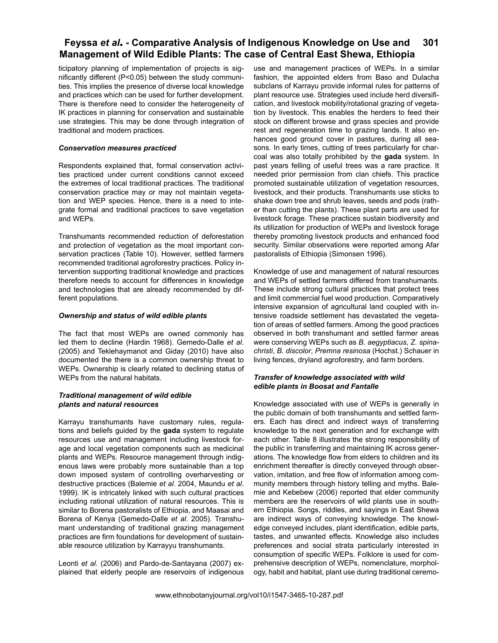ticipatory planning of implementation of projects is significantly different (P<0.05) between the study communities. This implies the presence of diverse local knowledge and practices which can be used for further development. There is therefore need to consider the heterogeneity of IK practices in planning for conservation and sustainable use strategies. This may be done through integration of traditional and modern practices.

#### *Conservation measures practiced*

Respondents explained that, formal conservation activities practiced under current conditions cannot exceed the extremes of local traditional practices. The traditional conservation practice may or may not maintain vegetation and WEP species. Hence, there is a need to integrate formal and traditional practices to save vegetation and WEPs.

Transhumants recommended reduction of deforestation and protection of vegetation as the most important conservation practices (Table 10). However, settled farmers recommended traditional agroforestry practices. Policy intervention supporting traditional knowledge and practices therefore needs to account for differences in knowledge and technologies that are already recommended by different populations.

#### *Ownership and status of wild edible plants*

The fact that most WEPs are owned commonly has led them to decline (Hardin 1968). Gemedo-Dalle *et al*. (2005) and Teklehaymanot and Giday (2010) have also documented the there is a common ownership threat to WEPs. Ownership is clearly related to declining status of WEPs from the natural habitats.

#### *Traditional management of wild edible plants and natural resources*

Karrayu transhumants have customary rules, regulations and beliefs guided by the **gada** system to regulate resources use and management including livestock forage and local vegetation components such as medicinal plants and WEPs. Resource management through indigenous laws were probably more sustainable than a top down imposed system of controlling overharvesting or destructive practices (Balemie *et al*. 2004, Maundu *et al*. 1999). IK is intricately linked with such cultural practices including rational utilization of natural resources. This is similar to Borena pastoralists of Ethiopia, and Maasai and Borena of Kenya (Gemedo-Dalle *et al*. 2005). Transhumant understanding of traditional grazing management practices are firm foundations for development of sustainable resource utilization by Karrayyu transhumants.

Leonti *et al*. (2006) and Pardo-de-Santayana (2007) explained that elderly people are reservoirs of indigenous

use and management practices of WEPs. In a similar fashion, the appointed elders from Baso and Dulacha subclans of Karrayu provide informal rules for patterns of plant resource use. Strategies used include herd diversification, and livestock mobility/rotational grazing of vegetation by livestock. This enables the herders to feed their stock on different browse and grass species and provide rest and regeneration time to grazing lands. It also enhances good ground cover in pastures, during all seasons. In early times, cutting of trees particularly for charcoal was also totally prohibited by the **gada** system. In past years felling of useful trees was a rare practice. It needed prior permission from clan chiefs. This practice promoted sustainable utilization of vegetation resources, livestock, and their products. Transhumants use sticks to shake down tree and shrub leaves, seeds and pods (rather than cutting the plants). These plant parts are used for livestock forage. These practices sustain biodiversity and its utilization for production of WEPs and livestock forage thereby promoting livestock products and enhanced food security. Similar observations were reported among Afar pastoralists of Ethiopia (Simonsen 1996).

Knowledge of use and management of natural resources and WEPs of settled farmers differed from transhumants. These include strong cultural practices that protect trees and limit commercial fuel wood production. Comparatively intensive expansion of agricultural land coupled with intensive roadside settlement has devastated the vegetation of areas of settled farmers. Among the good practices observed in both transhumant and settled farmer areas were conserving WEPs such as *B. aegyptiacus*, *Z. spinachristi*, *B. discolor*, *Premna resinosa* (Hochst.) Schauer in living fences, dryland agroforestry, and farm borders.

#### *Transfer of knowledge associated with wild edible plants in Boosat and Fantalle*

Knowledge associated with use of WEPs is generally in the public domain of both transhumants and settled farmers. Each has direct and indirect ways of transferring knowledge to the next generation and for exchange with each other. Table 8 illustrates the strong responsibility of the public in transferring and maintaining IK across generations. The knowledge flow from elders to children and its enrichment thereafter is directly conveyed through observation, imitation, and free flow of information among community members through history telling and myths. Balemie and Kebebew (2006) reported that elder community members are the reservoirs of wild plants use in southern Ethiopia. Songs, riddles, and sayings in East Shewa are indirect ways of conveying knowledge. The knowledge conveyed includes, plant identification, edible parts, tastes, and unwanted effects. Knowledge also includes preferences and social strata particularly interested in consumption of specific WEPs. Folklore is used for comprehensive description of WEPs, nomenclature, morphology, habit and habitat, plant use during traditional ceremo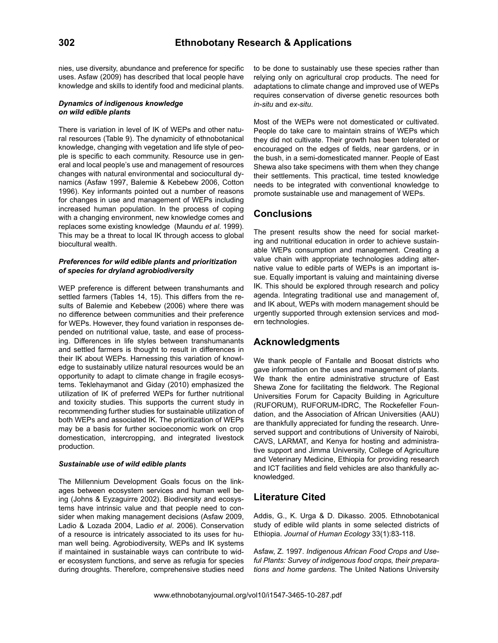nies, use diversity, abundance and preference for specific uses. Asfaw (2009) has described that local people have knowledge and skills to identify food and medicinal plants.

#### *Dynamics of indigenous knowledge on wild edible plants*

There is variation in level of IK of WEPs and other natural resources (Table 9). The dynamicity of ethnobotanical knowledge, changing with vegetation and life style of people is specific to each community. Resource use in general and local people's use and management of resources changes with natural environmental and sociocultural dynamics (Asfaw 1997, Balemie & Kebebew 2006, Cotton 1996). Key informants pointed out a number of reasons for changes in use and management of WEPs including increased human population. In the process of coping with a changing environment, new knowledge comes and replaces some existing knowledge (Maundu *et al*. 1999). This may be a threat to local IK through access to global biocultural wealth.

#### *Preferences for wild edible plants and prioritization of species for dryland agrobiodiversity*

WEP preference is different between transhumants and settled farmers (Tables 14, 15). This differs from the results of Balemie and Kebebew (2006) where there was no difference between communities and their preference for WEPs. However, they found variation in responses depended on nutritional value, taste, and ease of processing. Differences in life styles between transhumanants and settled farmers is thought to result in differences in their IK about WEPs. Harnessing this variation of knowledge to sustainably utilize natural resources would be an opportunity to adapt to climate change in fragile ecosystems. Teklehaymanot and Giday (2010) emphasized the utilization of IK of preferred WEPs for further nutritional and toxicity studies. This supports the current study in recommending further studies for sustainable utilization of both WEPs and associated IK. The prioritization of WEPs may be a basis for further socioeconomic work on crop domestication, intercropping, and integrated livestock production.

#### *Sustainable use of wild edible plants*

The Millennium Development Goals focus on the linkages between ecosystem services and human well being (Johns & Eyzaguirre 2002). Biodiversity and ecosystems have intrinsic value and that people need to consider when making management decisions (Asfaw 2009, Ladio & Lozada 2004, Ladio *et al*. 2006). Conservation of a resource is intricately associated to its uses for human well being. Agrobiodiversity, WEPs and IK systems if maintained in sustainable ways can contribute to wider ecosystem functions, and serve as refugia for species during droughts. Therefore, comprehensive studies need

to be done to sustainably use these species rather than relying only on agricultural crop products. The need for adaptations to climate change and improved use of WEPs requires conservation of diverse genetic resources both *in-situ* and *ex-situ*.

Most of the WEPs were not domesticated or cultivated. People do take care to maintain strains of WEPs which they did not cultivate. Their growth has been tolerated or encouraged on the edges of fields, near gardens, or in the bush, in a semi-domesticated manner. People of East Shewa also take specimens with them when they change their settlements. This practical, time tested knowledge needs to be integrated with conventional knowledge to promote sustainable use and management of WEPs.

# **Conclusions**

The present results show the need for social marketing and nutritional education in order to achieve sustainable WEPs consumption and management. Creating a value chain with appropriate technologies adding alternative value to edible parts of WEPs is an important issue. Equally important is valuing and maintaining diverse IK. This should be explored through research and policy agenda. Integrating traditional use and management of, and IK about, WEPs with modern management should be urgently supported through extension services and modern technologies.

# **Acknowledgments**

We thank people of Fantalle and Boosat districts who gave information on the uses and management of plants. We thank the entire administrative structure of East Shewa Zone for facilitating the fieldwork. The Regional Universities Forum for Capacity Building in Agriculture (RUFORUM), RUFORUM-IDRC, The Rockefeller Foundation, and the Association of African Universities (AAU) are thankfully appreciated for funding the research. Unreserved support and contributions of University of Nairobi, CAVS, LARMAT, and Kenya for hosting and administrative support and Jimma University, College of Agriculture and Veterinary Medicine, Ethiopia for providing research and ICT facilities and field vehicles are also thankfully acknowledged.

# **Literature Cited**

Addis, G., K. Urga & D. Dikasso. 2005. Ethnobotanical study of edible wild plants in some selected districts of Ethiopia. *Journal of Human Ecology* 33(1):83-118.

Asfaw, Z. 1997. *Indigenous African Food Crops and Useful Plants: Survey of indigenous food crops, their preparations and home gardens*. The United Nations University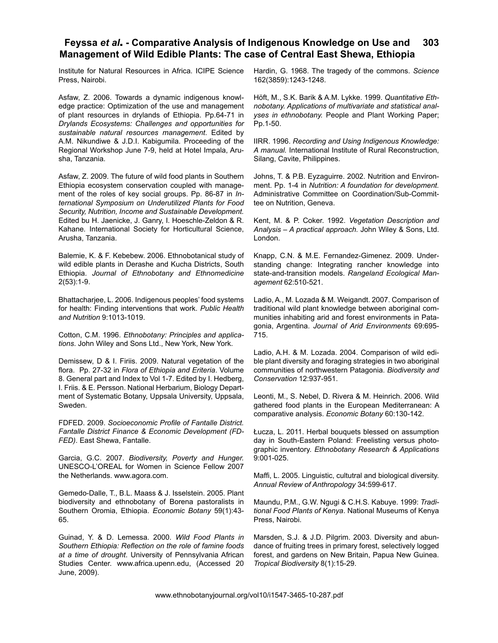Institute for Natural Resources in Africa. ICIPE Science Press, Nairobi.

Asfaw, Z. 2006. Towards a dynamic indigenous knowledge practice: Optimization of the use and management of plant resources in drylands of Ethiopia. Pp.64-71 in *Drylands Ecosystems: Challenges and opportunities for sustainable natural resources management*. Edited by A.M. Nikundiwe & J.D.I. Kabigumila. Proceeding of the Regional Workshop June 7-9, held at Hotel Impala, Arusha, Tanzania.

Asfaw, Z. 2009. The future of wild food plants in Southern Ethiopia ecosystem conservation coupled with management of the roles of key social groups. Pp. 86-87 in *International Symposium on Underutilized Plants for Food Security, Nutrition, Income and Sustainable Development.*  Edited bu H. Jaenicke, J. Ganry, I. Hoeschle-Zeldon & R. Kahane*.* International Society for Horticultural Science, Arusha, Tanzania.

Balemie, K. & F. Kebebew. 2006. Ethnobotanical study of wild edible plants in Derashe and Kucha Districts, South Ethiopia. *Journal of Ethnobotany and Ethnomedicine* 2(53):1-9.

Bhattacharjee, L. 2006. Indigenous peoples' food systems for health: Finding interventions that work. *Public Health and Nutrition* 9:1013-1019.

Cotton, C.M. 1996. *Ethnobotany: Principles and applications*. John Wiley and Sons Ltd., New York, New York.

Demissew, D & I. Firiis. 2009. Natural vegetation of the flora. Pp. 27-32 in *Flora of Ethiopia and Eriteria*. Volume 8. General part and Index to Vol 1-7. Edited by I. Hedberg, I. Friis. & E. Persson. National Herbarium, Biology Department of Systematic Botany, Uppsala University, Uppsala, Sweden.

FDFED. 2009. *Socioeconomic Profile of Fantalle District. Fantalle District Finance & Economic Development (FD-FED)*. East Shewa, Fantalle.

Garcia, G.C. 2007. *Biodiversity, Poverty and Hunger.*  UNESCO-L'OREAL for Women in Science Fellow 2007 the Netherlands. www.agora.com.

Gemedo-Dalle, T., B.L. Maass & J. Isselstein. 2005. Plant biodiversity and ethnobotany of Borena pastoralists in Southern Oromia, Ethiopia. *Economic Botany* 59(1):43- 65.

Guinad, Y. & D. Lemessa. 2000. *Wild Food Plants in Southern Ethiopia: Reflection on the role of famine foods at a time of drought*. University of Pennsylvania African Studies Center. www.africa.upenn.edu, (Accessed 20 June, 2009).

Hardin, G. 1968. The tragedy of the commons. *Science* 162(3859):1243-1248.

Höft, M., S.K. Barik & A.M. Lykke. 1999. *Quantitative Ethnobotany. Applications of multivariate and statistical analyses in ethnobotany.* People and Plant Working Paper; Pp.1-50.

IIRR. 1996. *Recording and Using Indigenous Knowledge: A manual.* International Institute of Rural Reconstruction, Silang, Cavite, Philippines.

Johns, T. & P.B. Eyzaguirre. 2002. Nutrition and Environment. Pp. 1-4 in *Nutrition: A foundation for development.*  Administrative Committee on Coordination/Sub-Committee on Nutrition, Geneva.

Kent, M. & P. Coker. 1992. *Vegetation Description and Analysis – A practical approach.* John Wiley & Sons, Ltd. London.

Knapp, C.N. & M.E. Fernandez-Gimenez. 2009. Understanding change: Integrating rancher knowledge into state-and-transition models. *Rangeland Ecological Management* 62:510-521.

Ladio, A., M. Lozada & M. Weigandt. 2007. Comparison of traditional wild plant knowledge between aboriginal communities inhabiting arid and forest environments in Patagonia, Argentina. *Journal of Arid Environments* 69:695- 715.

Ladio, A.H. & M. Lozada. 2004. Comparison of wild edible plant diversity and foraging strategies in two aboriginal communities of northwestern Patagonia. *Biodiversity and Conservation* 12:937-951.

Leonti, M., S. Nebel, D. Rivera & M. Heinrich. 2006. Wild gathered food plants in the European Mediterranean: A comparative analysis. *Economic Botany* 60:130-142.

Łucza, L. 2011. Herbal bouquets blessed on assumption day in South-Eastern Poland: Freelisting versus photographic inventory. *Ethnobotany Research & Applications*  9:001-025.

Maffi, L. 2005. Linguistic, cultutral and biological diversity. *Annual Review of Anthropology* 34:599-617.

Maundu, P.M., G.W. Ngugi & C.H.S. Kabuye. 1999: *Traditional Food Plants of Kenya*. National Museums of Kenya Press, Nairobi.

Marsden, S.J. & J.D. Pilgrim. 2003. Diversity and abundance of fruiting trees in primary forest, selectively logged forest, and gardens on New Britain, Papua New Guinea. *Tropical Biodiversity* 8(1):15-29.